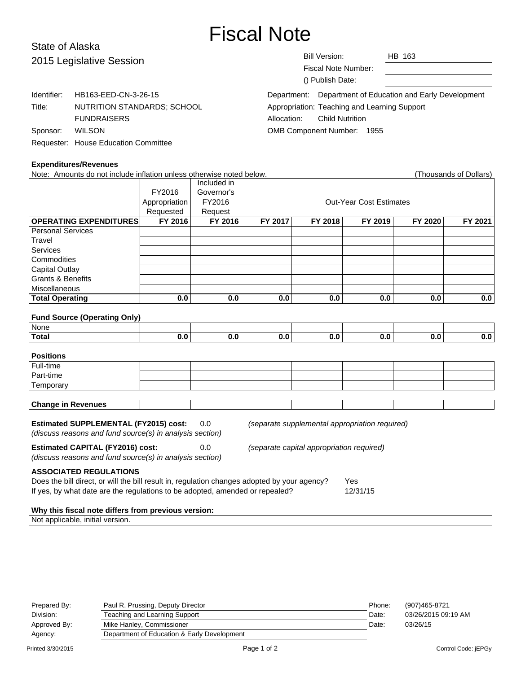# Fiscal Note

## State of Alaska 2015 Leg

| 2015 Legislative Session |                                      | <b>Bill Version:</b><br>HB 163                            |  |  |  |  |
|--------------------------|--------------------------------------|-----------------------------------------------------------|--|--|--|--|
|                          |                                      | Fiscal Note Number:                                       |  |  |  |  |
|                          |                                      | () Publish Date:                                          |  |  |  |  |
| Identifier:              | HB163-EED-CN-3-26-15                 | Department: Department of Education and Early Development |  |  |  |  |
| Title:                   | NUTRITION STANDARDS; SCHOOL          | Appropriation: Teaching and Learning Support              |  |  |  |  |
|                          | <b>FUNDRAISERS</b>                   | <b>Child Nutrition</b><br>Allocation:                     |  |  |  |  |
| Sponsor:                 | <b>WILSON</b>                        | <b>OMB Component Number:</b><br>1955                      |  |  |  |  |
|                          | Requester: House Education Committee |                                                           |  |  |  |  |

#### **Expenditures/Revenues**

| Note: Amounts do not include inflation unless otherwise noted below.<br>(Thousands of Dollars)      |               |             |                                |         |                                                |         |         |  |  |
|-----------------------------------------------------------------------------------------------------|---------------|-------------|--------------------------------|---------|------------------------------------------------|---------|---------|--|--|
|                                                                                                     |               | Included in |                                |         |                                                |         |         |  |  |
|                                                                                                     | FY2016        | Governor's  |                                |         |                                                |         |         |  |  |
|                                                                                                     | Appropriation | FY2016      | <b>Out-Year Cost Estimates</b> |         |                                                |         |         |  |  |
|                                                                                                     | Requested     | Request     |                                |         |                                                |         |         |  |  |
| <b>OPERATING EXPENDITURES</b>                                                                       | FY 2016       | FY 2016     | FY 2017                        | FY 2018 | FY 2019                                        | FY 2020 | FY 2021 |  |  |
| <b>Personal Services</b>                                                                            |               |             |                                |         |                                                |         |         |  |  |
| Travel                                                                                              |               |             |                                |         |                                                |         |         |  |  |
| Services                                                                                            |               |             |                                |         |                                                |         |         |  |  |
| Commodities                                                                                         |               |             |                                |         |                                                |         |         |  |  |
| <b>Capital Outlay</b>                                                                               |               |             |                                |         |                                                |         |         |  |  |
| <b>Grants &amp; Benefits</b>                                                                        |               |             |                                |         |                                                |         |         |  |  |
| Miscellaneous                                                                                       |               |             |                                |         |                                                |         |         |  |  |
| <b>Total Operating</b>                                                                              | 0.0           | 0.0         | 0.0                            | 0.0     | 0.0                                            | 0.0     | 0.0     |  |  |
|                                                                                                     |               |             |                                |         |                                                |         |         |  |  |
| <b>Fund Source (Operating Only)</b>                                                                 |               |             |                                |         |                                                |         |         |  |  |
| None                                                                                                |               |             |                                |         |                                                |         |         |  |  |
| <b>Total</b>                                                                                        | 0.0           | 0.0         | 0.0                            | 0.0     | 0.0                                            | 0.0     | 0.0     |  |  |
|                                                                                                     |               |             |                                |         |                                                |         |         |  |  |
| <b>Positions</b>                                                                                    |               |             |                                |         |                                                |         |         |  |  |
| Full-time                                                                                           |               |             |                                |         |                                                |         |         |  |  |
| Part-time                                                                                           |               |             |                                |         |                                                |         |         |  |  |
| Temporary                                                                                           |               |             |                                |         |                                                |         |         |  |  |
|                                                                                                     |               |             |                                |         |                                                |         |         |  |  |
| <b>Change in Revenues</b>                                                                           |               |             |                                |         |                                                |         |         |  |  |
|                                                                                                     |               |             |                                |         |                                                |         |         |  |  |
| <b>Estimated SUPPLEMENTAL (FY2015) cost:</b>                                                        |               | 0.0         |                                |         | (separate supplemental appropriation required) |         |         |  |  |
| (discuss reasons and fund source(s) in analysis section)                                            |               |             |                                |         |                                                |         |         |  |  |
| <b>Estimated CAPITAL (FY2016) cost:</b><br>0.0<br>(separate capital appropriation required)         |               |             |                                |         |                                                |         |         |  |  |
| (discuss reasons and fund source(s) in analysis section)                                            |               |             |                                |         |                                                |         |         |  |  |
|                                                                                                     |               |             |                                |         |                                                |         |         |  |  |
| <b>ASSOCIATED REGULATIONS</b>                                                                       |               |             |                                |         |                                                |         |         |  |  |
| Does the bill direct, or will the bill result in, regulation changes adopted by your agency?<br>Yes |               |             |                                |         |                                                |         |         |  |  |
| If yes, by what date are the regulations to be adopted, amended or repealed?<br>12/31/15            |               |             |                                |         |                                                |         |         |  |  |
|                                                                                                     |               |             |                                |         |                                                |         |         |  |  |
| Why this fiscal note differs from previous version:                                                 |               |             |                                |         |                                                |         |         |  |  |

| Prepared By: | Paul R. Prussing, Deputy Director           | Phone: | (907)465-8721       |
|--------------|---------------------------------------------|--------|---------------------|
| Division:    | Teaching and Learning Support               | Date:  | 03/26/2015 09:19 AM |
| Approved By: | Mike Hanley, Commissioner                   | Date:  | 03/26/15            |
| Agency:      | Department of Education & Early Development |        |                     |

Not applicable, initial version.